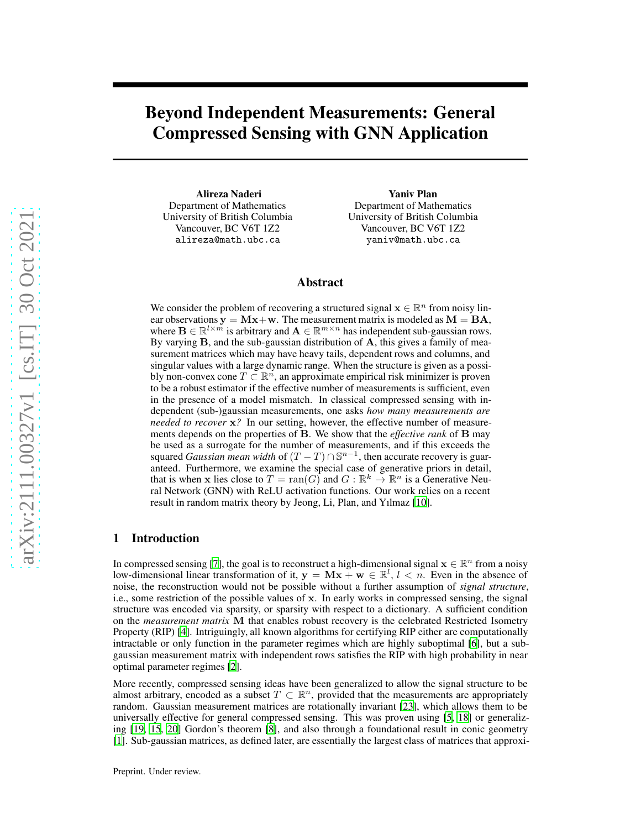# Beyond Independent Measurements: General Compressed Sensing with GNN Application

Alireza Naderi Department of Mathematics University of British Columbia Vancouver, BC V6T 1Z2 alireza@math.ubc.ca

Yaniv Plan Department of Mathematics University of British Columbia Vancouver, BC V6T 1Z2 yaniv@math.ubc.ca

### Abstract

We consider the problem of recovering a structured signal  $\mathbf{x} \in \mathbb{R}^n$  from noisy linear observations  $y = Mx + w$ . The measurement matrix is modeled as  $M = BA$ , where  $\mathbf{B} \in \mathbb{R}^{l \times m}$  is arbitrary and  $\mathbf{A} \in \mathbb{R}^{m \times n}$  has independent sub-gaussian rows. By varying  $B$ , and the sub-gaussian distribution of  $A$ , this gives a family of measurement matrices which may have heavy tails, dependent rows and columns, and singular values with a large dynamic range. When the structure is given as a possibly non-convex cone  $T \subset \mathbb{R}^n$ , an approximate empirical risk minimizer is proven to be a robust estimator if the effective number of measurements is sufficient, even in the presence of a model mismatch. In classical compressed sensing with independent (sub-)gaussian measurements, one asks *how many measurements are needed to recover*  $x$ ? In our setting, however, the effective number of measurements depends on the properties of B. We show that the *effective rank* of B may be used as a surrogate for the number of measurements, and if this exceeds the squared *Gaussian mean width* of  $(T - T) \cap \mathbb{S}^{n-1}$ , then accurate recovery is guaranteed. Furthermore, we examine the special case of generative priors in detail, that is when x lies close to  $T = \text{ran}(G)$  and  $G : \mathbb{R}^k \to \mathbb{R}^n$  is a Generative Neural Network (GNN) with ReLU activation functions. Our work relies on a recent result in random matrix theory by Jeong, Li, Plan, and Yılmaz [\[10](#page-4-0)].

## 1 Introduction

In compressed sensing [\[7\]](#page-4-1), the goal is to reconstruct a high-dimensional signal  $\mathbf{x} \in \mathbb{R}^n$  from a noisy low-dimensional linear transformation of it,  $y = Mx + w \in \mathbb{R}^l$ ,  $l < n$ . Even in the absence of noise, the reconstruction would not be possible without a further assumption of *signal structure*, i.e., some restriction of the possible values of x. In early works in compressed sensing, the signal structure was encoded via sparsity, or sparsity with respect to a dictionary. A sufficient condition on the *measurement matrix* M that enables robust recovery is the celebrated Restricted Isometry Property (RIP) [\[4\]](#page-4-2). Intriguingly, all known algorithms for certifying RIP either are computationally intractable or only function in the parameter regimes which are highly suboptimal [\[6\]](#page-4-3), but a subgaussian measurement matrix with independent rows satisfies the RIP with high probability in near optimal parameter regimes [\[2](#page-4-4)].

More recently, compressed sensing ideas have been generalized to allow the signal structure to be almost arbitrary, encoded as a subset  $T \subset \mathbb{R}^n$ , provided that the measurements are appropriately random. Gaussian measurement matrices are rotationally invariant [\[23\]](#page-4-5), which allows them to be universally effective for general compressed sensing. This was proven using [\[5,](#page-4-6) [18\]](#page-4-7) or generalizing [\[19,](#page-4-8) [15,](#page-4-9) [20\]](#page-4-10) Gordon's theorem [\[8\]](#page-4-11), and also through a foundational result in conic geometry [\[1](#page-4-12)]. Sub-gaussian matrices, as defined later, are essentially the largest class of matrices that approxi-

Preprint. Under review.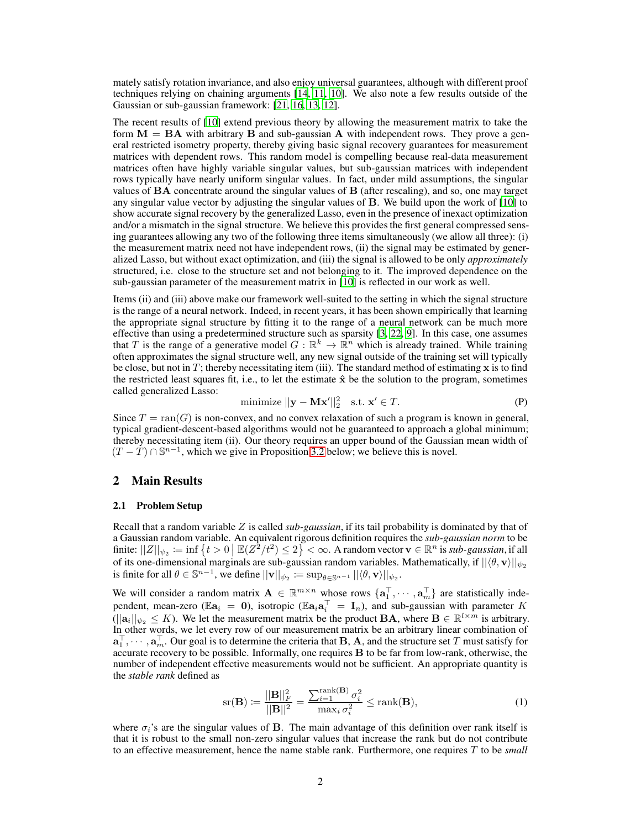mately satisfy rotation invariance, and also enjoy universal guarantees, although with different proof techniques relying on chaining arguments [\[14](#page-4-13), [11,](#page-4-14) [10\]](#page-4-0). We also note a few results outside of the Gaussian or sub-gaussian framework: [\[21](#page-4-15), [16](#page-4-16), [13](#page-4-17), [12](#page-4-18)].

The recent results of [\[10\]](#page-4-0) extend previous theory by allowing the measurement matrix to take the form  $M = BA$  with arbitrary B and sub-gaussian A with independent rows. They prove a general restricted isometry property, thereby giving basic signal recovery guarantees for measurement matrices with dependent rows. This random model is compelling because real-data measurement matrices often have highly variable singular values, but sub-gaussian matrices with independent rows typically have nearly uniform singular values. In fact, under mild assumptions, the singular values of BA concentrate around the singular values of B (after rescaling), and so, one may target any singular value vector by adjusting the singular values of B. We build upon the work of [\[10](#page-4-0)] to show accurate signal recovery by the generalized Lasso, even in the presence of inexact optimization and/or a mismatch in the signal structure. We believe this provides the first general compressed sensing guarantees allowing any two of the following three items simultaneously (we allow all three): (i) the measurement matrix need not have independent rows, (ii) the signal may be estimated by generalized Lasso, but without exact optimization, and (iii) the signal is allowed to be only *approximately* structured, i.e. close to the structure set and not belonging to it. The improved dependence on the sub-gaussian parameter of the measurement matrix in [\[10](#page-4-0)] is reflected in our work as well.

Items (ii) and (iii) above make our framework well-suited to the setting in which the signal structure is the range of a neural network. Indeed, in recent years, it has been shown empirically that learning the appropriate signal structure by fitting it to the range of a neural network can be much more effective than using a predetermined structure such as sparsity [\[3](#page-4-19), [22](#page-4-20), [9\]](#page-4-21). In this case, one assumes that T is the range of a generative model  $G : \mathbb{R}^k \to \mathbb{R}^n$  which is already trained. While training often approximates the signal structure well, any new signal outside of the training set will typically be close, but not in  $T$ ; thereby necessitating item (iii). The standard method of estimating  $x$  is to find the restricted least squares fit, i.e., to let the estimate  $\hat{x}$  be the solution to the program, sometimes called generalized Lasso:

minimize 
$$
||\mathbf{y} - \mathbf{M}\mathbf{x}'||_2^2
$$
 s.t.  $\mathbf{x}' \in T$ . (P)

Since  $T = \text{ran}(G)$  is non-convex, and no convex relaxation of such a program is known in general, typical gradient-descent-based algorithms would not be guaranteed to approach a global minimum; thereby necessitating item (ii). Our theory requires an upper bound of the Gaussian mean width of  $(T - \tilde{T}) \cap \mathbb{S}^{n-1}$ , which we give in Proposition [3.2](#page-3-0) below; we believe this is novel.

#### 2 Main Results

#### 2.1 Problem Setup

Recall that a random variable Z is called *sub-gaussian*, if its tail probability is dominated by that of a Gaussian random variable. An equivalent rigorous definition requires the *sub-gaussian norm* to be finite:  $||Z||_{\psi_2} = \inf \{ t > 0 \mid \mathbb{E}(Z^2/t^2) \leq 2 \} < \infty$ . A random vector  $\mathbf{v} \in \mathbb{R}^n$  is *sub-gaussian*, if all of its one-dimensional marginals are sub-gaussian random variables. Mathematically, if  $||\langle \theta, \mathbf{v} \rangle||_{\psi_2}$ is finite for all  $\theta \in \mathbb{S}^{n-1}$ , we define  $||\mathbf{v}||_{\psi_2} := \sup_{\theta \in \mathbb{S}^{n-1}} ||\langle \theta, \mathbf{v} \rangle||_{\psi_2}$ .

We will consider a random matrix  $\mathbf{A} \in \mathbb{R}^{m \times n}$  whose rows  $\{\mathbf{a}_1^\top, \cdots, \mathbf{a}_m^\top\}$  are statistically independent, mean-zero ( $\mathbb{E}a_i = 0$ ), isotropic ( $\mathbb{E}a_i a_i^{\top} = I_n$ ), and sub-gaussian with parameter K  $(||a_i||_{\psi_2} \leq K)$ . We let the measurement matrix be the product **BA**, where  $\mathbf{B} \in \mathbb{R}^{l \times m}$  is arbitrary. In other words, we let every row of our measurement matrix be an arbitrary linear combination of  $\mathbf{a}_1^{\top}, \cdots, \mathbf{a}_m^{\top}$ . Our goal is to determine the criteria that **B**, **A**, and the structure set T must satisfy for accurate recovery to be possible. Informally, one requires B to be far from low-rank, otherwise, the number of independent effective measurements would not be sufficient. An appropriate quantity is the *stable rank* defined as

$$
\text{sr}(\mathbf{B}) \coloneqq \frac{||\mathbf{B}||_F^2}{||\mathbf{B}||^2} = \frac{\sum_{i=1}^{\text{rank}(\mathbf{B})} \sigma_i^2}{\max_i \sigma_i^2} \le \text{rank}(\mathbf{B}),\tag{1}
$$

where  $\sigma_i$ 's are the singular values of B. The main advantage of this definition over rank itself is that it is robust to the small non-zero singular values that increase the rank but do not contribute to an effective measurement, hence the name stable rank. Furthermore, one requires T to be *small*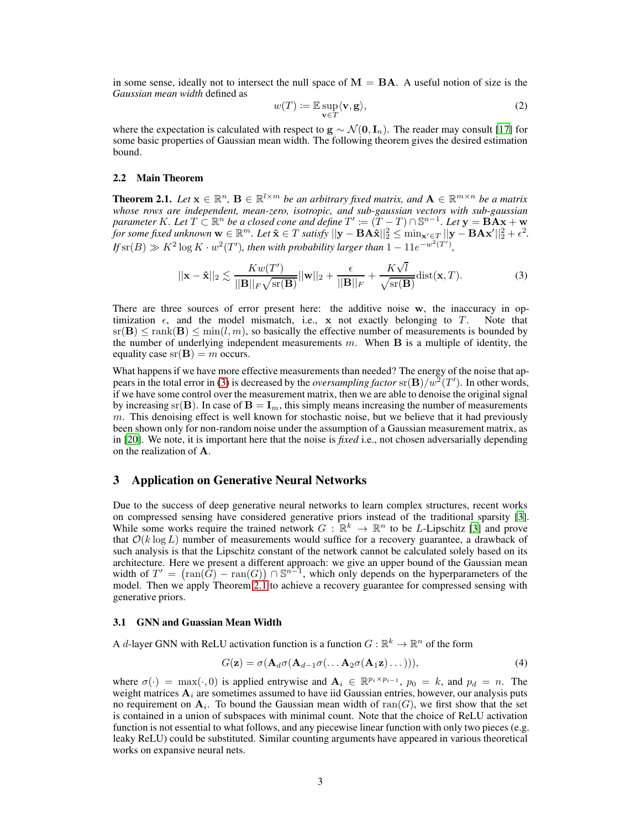in some sense, ideally not to intersect the null space of  $M = BA$ . A useful notion of size is the *Gaussian mean width* defined as

<span id="page-2-0"></span>
$$
w(T) := \mathbb{E} \sup_{\mathbf{v} \in T} \langle \mathbf{v}, \mathbf{g} \rangle,
$$
 (2)

where the expectation is calculated with respect to  $g \sim \mathcal{N}(0, I_n)$ . The reader may consult [\[17\]](#page-4-22) for some basic properties of Gaussian mean width. The following theorem gives the desired estimation bound.

#### 2.2 Main Theorem

<span id="page-2-1"></span>**Theorem 2.1.** *Let*  $\mathbf{x} \in \mathbb{R}^n$ ,  $\mathbf{B} \in \mathbb{R}^{l \times m}$  *be an arbitrary fixed matrix, and*  $\mathbf{A} \in \mathbb{R}^{m \times n}$  *be a matrix whose rows are independent, mean-zero, isotropic, and sub-gaussian vectors with sub-gaussian parameter* K. Let  $T \subseteq \mathbb{R}^n$  *be a closed cone and define*  $T' := (T - T) \cap \mathbb{S}^{n-1}$ . Let  $\mathbf{y} = \mathbf{B} \mathbf{A} \mathbf{x} + \mathbf{w}$  $\int$  *for some fixed unknown*  $\mathbf{w} \in \mathbb{R}^m$ . Let  $\mathbf{\hat{x}} \in T$  satisfy  $||\mathbf{y} - \mathbf{B} \mathbf{A} \mathbf{\hat{x}}||_2^2 \le \min_{\mathbf{x}' \in T} ||\mathbf{y} - \mathbf{B} \mathbf{A} \mathbf{x}'||_2^2 + \epsilon^2$ . *If*  $\text{sr}(B) \gg K^2 \log K \cdot w^2(T')$ , then with probability larger than  $1 - 11e^{-w^2(T')}$ ,

$$
||\mathbf{x} - \hat{\mathbf{x}}||_2 \lesssim \frac{Kw(T')}{||\mathbf{B}||_F\sqrt{\text{sr}(\mathbf{B})}}||\mathbf{w}||_2 + \frac{\epsilon}{||\mathbf{B}||_F} + \frac{K\sqrt{l}}{\sqrt{\text{sr}(\mathbf{B})}}\text{dist}(\mathbf{x}, T). \tag{3}
$$

There are three sources of error present here: the additive noise w, the inaccuracy in optimization  $\epsilon$ , and the model mismatch, i.e., x not exactly belonging to T. Note that  $\text{sr}(\mathbf{B}) \le \text{rank}(\mathbf{B}) \le \min(l,m)$ , so basically the effective number of measurements is bounded by the number of underlying independent measurements  $m$ . When  $\bf{B}$  is a multiple of identity, the equality case  $sr(B) = m$  occurs.

What happens if we have more effective measurements than needed? The energy of the noise that ap-pears in the total error in [\(3\)](#page-2-0) is decreased by the *oversampling factor*  $\text{sr}(\mathbf{B})/w^2(T')$ . In other words, if we have some control over the measurement matrix, then we are able to denoise the original signal by increasing sr(B). In case of  $B = I_m$ , this simply means increasing the number of measurements  $m$ . This denoising effect is well known for stochastic noise, but we believe that it had previously been shown only for non-random noise under the assumption of a Gaussian measurement matrix, as in [\[20\]](#page-4-10). We note, it is important here that the noise is *fixed* i.e., not chosen adversarially depending on the realization of A.

## 3 Application on Generative Neural Networks

Due to the success of deep generative neural networks to learn complex structures, recent works on compressed sensing have considered generative priors instead of the traditional sparsity [\[3\]](#page-4-19). While some works require the trained network  $G : \mathbb{R}^k \to \mathbb{R}^n$  to be *L*-Lipschitz [\[3\]](#page-4-19) and prove that  $\mathcal{O}(k \log L)$  number of measurements would suffice for a recovery guarantee, a drawback of such analysis is that the Lipschitz constant of the network cannot be calculated solely based on its architecture. Here we present a different approach: we give an upper bound of the Gaussian mean width of  $T' = (\text{ran}(\tilde{G}) - \text{ran}(G)) \cap \mathbb{S}^{n-1}$ , which only depends on the hyperparameters of the model. Then we apply Theorem [2.1](#page-2-1) to achieve a recovery guarantee for compressed sensing with generative priors.

#### 3.1 GNN and Guassian Mean Width

A d-layer GNN with ReLU activation function is a function  $G : \mathbb{R}^k \to \mathbb{R}^n$  of the form

<span id="page-2-2"></span>
$$
G(\mathbf{z}) = \sigma(\mathbf{A}_d \sigma(\mathbf{A}_{d-1} \sigma(\dots \mathbf{A}_2 \sigma(\mathbf{A}_1 \mathbf{z}) \dots))), \tag{4}
$$

where  $\sigma(\cdot) = \max(\cdot, 0)$  is applied entrywise and  $\mathbf{A}_i \in \mathbb{R}^{p_i \times p_{i-1}}$ ,  $p_0 = k$ , and  $p_d = n$ . The weight matrices  $A_i$  are sometimes assumed to have iid Gaussian entries, however, our analysis puts no requirement on  $A_i$ . To bound the Gaussian mean width of  $ran(G)$ , we first show that the set is contained in a union of subspaces with minimal count. Note that the choice of ReLU activation function is not essential to what follows, and any piecewise linear function with only two pieces (e.g. leaky ReLU) could be substituted. Similar counting arguments have appeared in various theoretical works on expansive neural nets.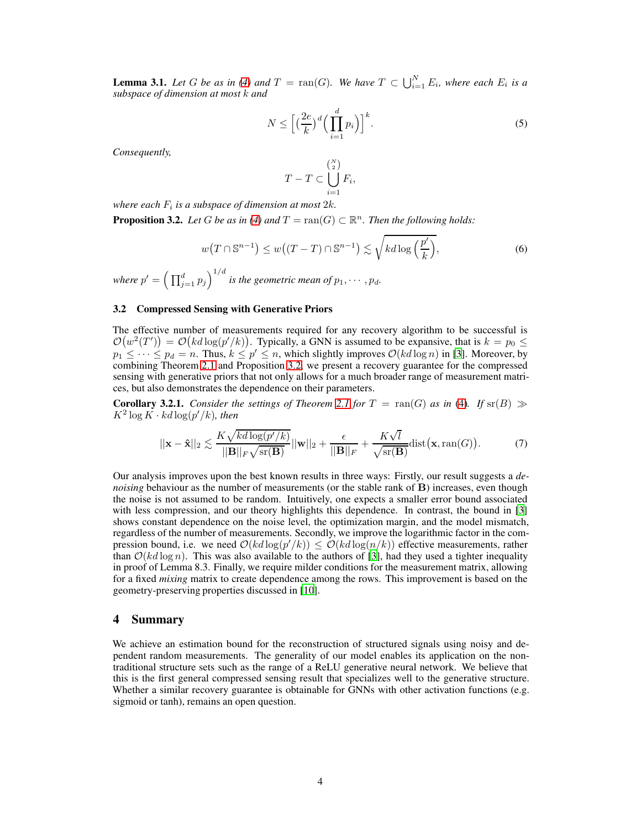<span id="page-3-1"></span>**Lemma 3.1.** Let G be as in [\(4\)](#page-2-2) and  $T = \text{ran}(G)$ . We have  $T \subset \bigcup_{i=1}^{N} E_i$ , where each  $E_i$  is a *subspace of dimension at most* k *and*

$$
N \le \Big[ \big(\frac{2e}{k}\big)^d \Big(\prod_{i=1}^d p_i\Big) \Big]^k. \tag{5}
$$

*Consequently,*

$$
T-T\subset \bigcup_{i=1}^{{N\choose 2}}F_i,
$$

where each  $F_i$  is a subspace of dimension at most  $2k$ .

<span id="page-3-0"></span>**Proposition 3.2.** Let G be as in [\(4\)](#page-2-2) and  $T = \text{ran}(G) \subset \mathbb{R}^n$ . Then the following holds:

$$
w(T \cap \mathbb{S}^{n-1}) \le w((T - T) \cap \mathbb{S}^{n-1}) \lesssim \sqrt{k d \log\left(\frac{p'}{k}\right)},\tag{6}
$$

where  $p' = \left(\prod_{j=1}^d p_j\right)^{1/d}$  is the geometric mean of  $p_1, \cdots, p_d$ .

#### 3.2 Compressed Sensing with Generative Priors

The effective number of measurements required for any recovery algorithm to be successful is  $\mathcal{O}(w^2(T')) = \mathcal{O}(kd \log(p'/k))$ . Typically, a GNN is assumed to be expansive, that is  $k = p_0 \leq$  $p_1 \leq \cdots \leq p_d = n$ . Thus,  $k \leq p' \leq n$ , which slightly improves  $\mathcal{O}(kd \log n)$  in [\[3](#page-4-19)]. Moreover, by combining Theorem [2.1](#page-2-1) and Proposition [3.2,](#page-3-0) we present a recovery guarantee for the compressed sensing with generative priors that not only allows for a much broader range of measurement matrices, but also demonstrates the dependence on their parameters.

**Corollary 3.2.1.** *Consider the settings of Theorem [2.1](#page-2-1) for*  $T = \text{ran}(G)$  *as in* [\(4\)](#page-2-2)*. If*  $\text{sr}(B) \gg$  $K^2 \log K \cdot k d \log (p'/k)$ *, then* 

$$
||\mathbf{x} - \hat{\mathbf{x}}||_2 \lesssim \frac{K\sqrt{kd\log(p'/k)}}{||\mathbf{B}||_F\sqrt{\text{sr}(\mathbf{B})}}||\mathbf{w}||_2 + \frac{\epsilon}{||\mathbf{B}||_F} + \frac{K\sqrt{l}}{\sqrt{\text{sr}(\mathbf{B})}}\text{dist}(\mathbf{x}, \text{ran}(G)).
$$
 (7)

Our analysis improves upon the best known results in three ways: Firstly, our result suggests a *denoising* behaviour as the number of measurements (or the stable rank of **B**) increases, even though the noise is not assumed to be random. Intuitively, one expects a smaller error bound associated with less compression, and our theory highlights this dependence. In contrast, the bound in [\[3\]](#page-4-19) shows constant dependence on the noise level, the optimization margin, and the model mismatch, regardless of the number of measurements. Secondly, we improve the logarithmic factor in the compression bound, i.e. we need  $\mathcal{O}(kd \log(p'/k)) \leq \mathcal{O}(kd \log(n/k))$  effective measurements, rather than  $\mathcal{O}(kd \log n)$ . This was also available to the authors of [\[3\]](#page-4-19), had they used a tighter inequality in proof of Lemma 8.3. Finally, we require milder conditions for the measurement matrix, allowing for a fixed *mixing* matrix to create dependence among the rows. This improvement is based on the geometry-preserving properties discussed in [\[10](#page-4-0)].

#### 4 Summary

We achieve an estimation bound for the reconstruction of structured signals using noisy and dependent random measurements. The generality of our model enables its application on the nontraditional structure sets such as the range of a ReLU generative neural network. We believe that this is the first general compressed sensing result that specializes well to the generative structure. Whether a similar recovery guarantee is obtainable for GNNs with other activation functions (e.g. sigmoid or tanh), remains an open question.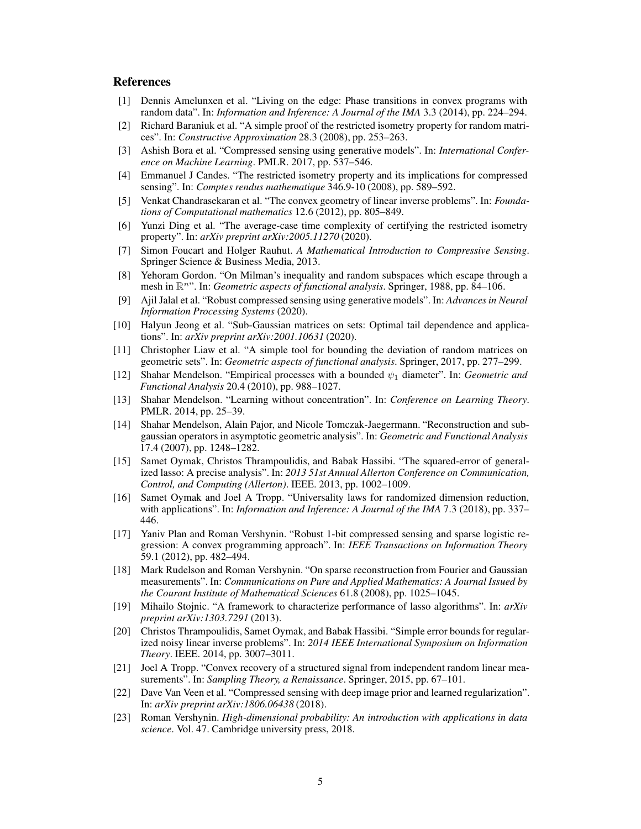## <span id="page-4-12"></span>**References**

- [1] Dennis Amelunxen et al. "Living on the edge: Phase transitions in convex programs with random data". In: *Information and Inference: A Journal of the IMA* 3.3 (2014), pp. 224–294.
- <span id="page-4-4"></span>[2] Richard Baraniuk et al. "A simple proof of the restricted isometry property for random matrices". In: *Constructive Approximation* 28.3 (2008), pp. 253–263.
- <span id="page-4-19"></span>[3] Ashish Bora et al. "Compressed sensing using generative models". In: *International Conference on Machine Learning*. PMLR. 2017, pp. 537–546.
- <span id="page-4-2"></span>[4] Emmanuel J Candes. "The restricted isometry property and its implications for compressed sensing". In: *Comptes rendus mathematique* 346.9-10 (2008), pp. 589–592.
- <span id="page-4-6"></span>[5] Venkat Chandrasekaran et al. "The convex geometry of linear inverse problems". In: *Foundations of Computational mathematics* 12.6 (2012), pp. 805–849.
- <span id="page-4-3"></span>Yunzi Ding et al. "The average-case time complexity of certifying the restricted isometry property". In: *arXiv preprint arXiv:2005.11270* (2020).
- <span id="page-4-1"></span>[7] Simon Foucart and Holger Rauhut. *A Mathematical Introduction to Compressive Sensing*. Springer Science & Business Media, 2013.
- <span id="page-4-11"></span>[8] Yehoram Gordon. "On Milman's inequality and random subspaces which escape through a mesh in  $\mathbb{R}^n$ ". In: *Geometric aspects of functional analysis*. Springer, 1988, pp. 84–106.
- <span id="page-4-21"></span>[9] Ajil Jalal et al. "Robust compressed sensing using generative models". In: *Advances in Neural Information Processing Systems* (2020).
- <span id="page-4-0"></span>[10] Halyun Jeong et al. "Sub-Gaussian matrices on sets: Optimal tail dependence and applications". In: *arXiv preprint arXiv:2001.10631* (2020).
- <span id="page-4-14"></span>[11] Christopher Liaw et al. "A simple tool for bounding the deviation of random matrices on geometric sets". In: *Geometric aspects of functional analysis*. Springer, 2017, pp. 277–299.
- <span id="page-4-18"></span>[12] Shahar Mendelson. "Empirical processes with a bounded ψ<sup>1</sup> diameter". In: *Geometric and Functional Analysis* 20.4 (2010), pp. 988–1027.
- <span id="page-4-17"></span>[13] Shahar Mendelson. "Learning without concentration". In: *Conference on Learning Theory*. PMLR. 2014, pp. 25–39.
- <span id="page-4-13"></span>[14] Shahar Mendelson, Alain Pajor, and Nicole Tomczak-Jaegermann. "Reconstruction and subgaussian operators in asymptotic geometric analysis". In: *Geometric and Functional Analysis* 17.4 (2007), pp. 1248–1282.
- <span id="page-4-9"></span>[15] Samet Oymak, Christos Thrampoulidis, and Babak Hassibi. "The squared-error of generalized lasso: A precise analysis". In: *2013 51st Annual Allerton Conference on Communication, Control, and Computing (Allerton)*. IEEE. 2013, pp. 1002–1009.
- <span id="page-4-16"></span>[16] Samet Oymak and Joel A Tropp. "Universality laws for randomized dimension reduction, with applications". In: *Information and Inference: A Journal of the IMA* 7.3 (2018), pp. 337– 446.
- <span id="page-4-22"></span>[17] Yaniv Plan and Roman Vershynin. "Robust 1-bit compressed sensing and sparse logistic regression: A convex programming approach". In: *IEEE Transactions on Information Theory* 59.1 (2012), pp. 482–494.
- <span id="page-4-7"></span>[18] Mark Rudelson and Roman Vershynin. "On sparse reconstruction from Fourier and Gaussian measurements". In: *Communications on Pure and Applied Mathematics: A Journal Issued by the Courant Institute of Mathematical Sciences* 61.8 (2008), pp. 1025–1045.
- <span id="page-4-8"></span>[19] Mihailo Stojnic. "A framework to characterize performance of lasso algorithms". In: *arXiv preprint arXiv:1303.7291* (2013).
- <span id="page-4-10"></span>[20] Christos Thrampoulidis, Samet Oymak, and Babak Hassibi. "Simple error bounds for regularized noisy linear inverse problems". In: *2014 IEEE International Symposium on Information Theory*. IEEE. 2014, pp. 3007–3011.
- <span id="page-4-15"></span>[21] Joel A Tropp. "Convex recovery of a structured signal from independent random linear measurements". In: *Sampling Theory, a Renaissance*. Springer, 2015, pp. 67–101.
- <span id="page-4-20"></span>[22] Dave Van Veen et al. "Compressed sensing with deep image prior and learned regularization". In: *arXiv preprint arXiv:1806.06438* (2018).
- <span id="page-4-5"></span>[23] Roman Vershynin. *High-dimensional probability: An introduction with applications in data science*. Vol. 47. Cambridge university press, 2018.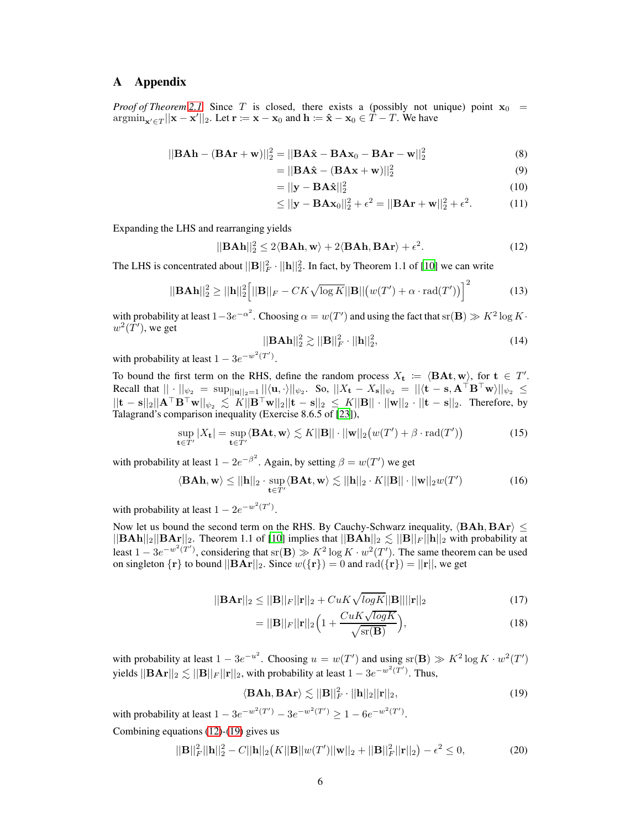## A Appendix

*Proof of Theorem* [2.1.](#page-2-1) Since T is closed, there exists a (possibly not unique) point  $x_0$  =  $\operatorname{argmin}_{\mathbf{x}' \in T} ||\mathbf{x} - \mathbf{x}'||_2$ . Let  $\mathbf{r} := \mathbf{x} - \mathbf{x}_0$  and  $\mathbf{h} := \hat{\mathbf{x}} - \mathbf{x}_0 \in T - T$ . We have

$$
||\mathbf{BAh} - (\mathbf{BAr} + \mathbf{w})||_2^2 = ||\mathbf{BA\hat{x}} - \mathbf{BAx}_0 - \mathbf{BAr} - \mathbf{w}||_2^2
$$
\n(8)

$$
= ||\mathbf{BA}\hat{\mathbf{x}} - (\mathbf{BAx} + \mathbf{w})||_2^2
$$
(9)  

$$
= ||\mathbf{v} - \mathbf{BA}\hat{\mathbf{x}}||^2
$$
(10)

$$
= ||\mathbf{y} - \mathbf{B} \mathbf{A} \mathbf{x}||_2^2
$$
 (10)

<span id="page-5-0"></span>
$$
\leq ||\mathbf{y} - \mathbf{B} \mathbf{A} \mathbf{x}_0||_2^2 + \epsilon^2 = ||\mathbf{B} \mathbf{A} \mathbf{r} + \mathbf{w}||_2^2 + \epsilon^2.
$$
 (11)

Expanding the LHS and rearranging yields

$$
||\mathbf{BAh}||_2^2 \le 2\langle \mathbf{BAh}, \mathbf{w} \rangle + 2\langle \mathbf{BAh}, \mathbf{BAr} \rangle + \epsilon^2. \tag{12}
$$

The LHS is concentrated about  $||\mathbf{B}||_F^2 \cdot ||\mathbf{h}||_2^2$ . In fact, by Theorem 1.1 of [\[10](#page-4-0)] we can write

$$
||\mathbf{BAh}||_2^2 \ge ||\mathbf{h}||_2^2 \Big[ ||\mathbf{B}||_F - CK\sqrt{\log K}||\mathbf{B}||(w(T') + \alpha \cdot \text{rad}(T')) \Big]^2 \tag{13}
$$

with probability at least  $1-3e^{-\alpha^2}$ . Choosing  $\alpha = w(T')$  and using the fact that sr $(\mathbf{B}) \gg K^2 \log K$ .  $w^2(\overline{T}'),$  we get

$$
||\mathbf{BAh}||_2^2 \gtrsim ||\mathbf{B}||_F^2 \cdot ||\mathbf{h}||_2^2, \tag{14}
$$

with probability at least  $1 - 3e^{-w^2(T')}$ .

To bound the first term on the RHS, define the random process  $X_t := \langle \mathbf{BAt}, \mathbf{w} \rangle$ , for  $\mathbf{t} \in T'$ . Recall that  $||\cdot||_{\psi_2} = \sup_{||\mathbf{u}||_2=1} ||\langle \mathbf{u}, \cdot \rangle||_{\psi_2}$ . So,  $||X_{\mathbf{t}} - X_{\mathbf{s}}||_{\psi_2} = ||\langle \mathbf{t} - \mathbf{s}, \mathbf{A}^\top \mathbf{B}^\top \mathbf{w} \rangle||_{\psi_2} \le$  $||t - s||_2||A^{\top}B^{\top}w||_{\psi_2} \leq K||B^{\top}w||_2||t - s||_2 \leq K||B|| \cdot ||w||_2 \cdot ||t - s||_2.$  Therefore, by Talagrand's comparison inequality (Exercise 8.6.5 of [\[23](#page-4-5)]),

$$
\sup_{\mathbf{t}\in T'}|X_{\mathbf{t}}| = \sup_{\mathbf{t}\in T'} \langle \mathbf{B} \mathbf{A} \mathbf{t}, \mathbf{w} \rangle \lesssim K ||\mathbf{B}|| \cdot ||\mathbf{w}||_2 \big( w(T') + \beta \cdot \mathrm{rad}(T') \big)
$$
(15)

with probability at least  $1 - 2e^{-\beta^2}$ . Again, by setting  $\beta = w(T')$  we get

$$
\langle \mathbf{BAh}, \mathbf{w} \rangle \le ||\mathbf{h}||_2 \cdot \sup_{\mathbf{t} \in T'} \langle \mathbf{BAt}, \mathbf{w} \rangle \lesssim ||\mathbf{h}||_2 \cdot K ||\mathbf{B}|| \cdot ||\mathbf{w}||_2 w(T')
$$
(16)

with probability at least  $1 - 2e^{-w^2(T')}$ .

Now let us bound the second term on the RHS. By Cauchy-Schwarz inequality,  $\langle BAh, BAr \rangle \leq$  $||BAh||_2||BAr||_2$ . Theorem 1.1 of [\[10](#page-4-0)] implies that  $||BAh||_2 \lesssim ||B||_F ||h||_2$  with probability at least  $1 - 3e^{-w^2(T')}$ , considering that  $\text{sr}(\mathbf{B}) \geqslant K^2 \log K \cdot w^2(T')$ . The same theorem can be used on singleton  $\{r\}$  to bound  $||\mathbf{BAr}||_2$ . Since  $w(\{r\}) = 0$  and  $rad(\{r\}) = ||r||$ , we get

$$
||\mathbf{B}\mathbf{A}\mathbf{r}||_2 \le ||\mathbf{B}||_F ||\mathbf{r}||_2 + CuK\sqrt{\log K} ||\mathbf{B}|| ||\mathbf{r}||_2
$$
\n(17)

<span id="page-5-1"></span>
$$
= ||\mathbf{B}||_F ||\mathbf{r}||_2 \Big( 1 + \frac{CuK\sqrt{\log K}}{\sqrt{\text{sr}(\mathbf{B})}} \Big),\tag{18}
$$

with probability at least  $1 - 3e^{-u^2}$ . Choosing  $u = w(T')$  and using  $\text{sr}(\mathbf{B}) \gg K^2 \log K \cdot w^2(T')$ yields  $||\mathbf{B} \mathbf{A} \mathbf{r}||_2 \lesssim ||\mathbf{B}||_F ||\mathbf{r}||_2$ , with probability at least  $1 - 3e^{-w^2(\mathbf{T}')}$ . Thus,

$$
\langle \mathbf{BAh}, \mathbf{BAr} \rangle \lesssim ||\mathbf{B}||_F^2 \cdot ||\mathbf{h}||_2 ||\mathbf{r}||_2, \tag{19}
$$

with probability at least  $1 - 3e^{-w^2(T')} - 3e^{-w^2(T')} \ge 1 - 6e^{-w^2(T')}$ . Combining equations [\(12\)](#page-5-0)-[\(19\)](#page-5-1) gives us

$$
||\mathbf{B}||_F^2||\mathbf{h}||_2^2 - C||\mathbf{h}||_2(K||\mathbf{B}||w(T')||\mathbf{w}||_2 + ||\mathbf{B}||_F^2||\mathbf{r}||_2) - \epsilon^2 \le 0,
$$
\n(20)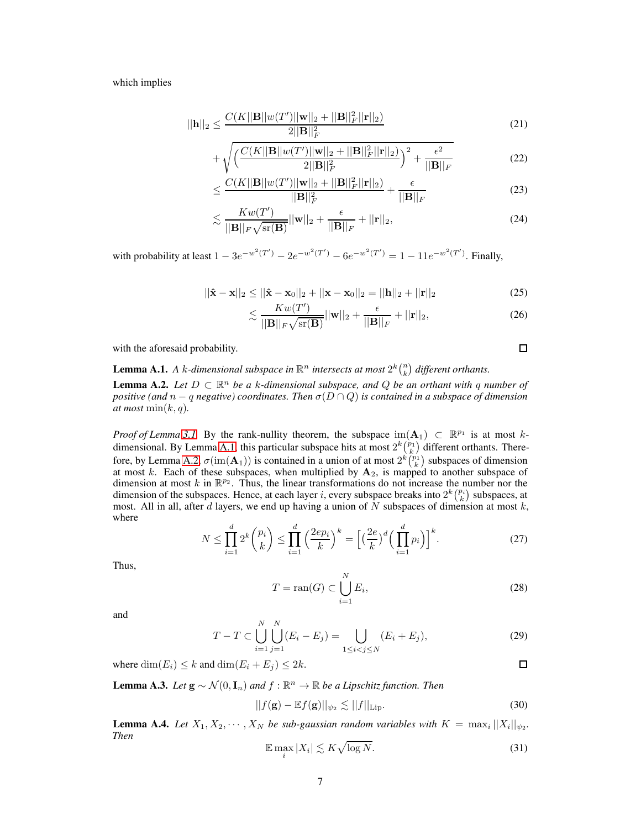which implies

$$
||\mathbf{h}||_2 \le \frac{C(K||\mathbf{B}||w(T')||\mathbf{w}||_2 + ||\mathbf{B}||_F^2||\mathbf{r}||_2)}{2||\mathbf{B}||_F^2} \tag{21}
$$

$$
+\sqrt{\left(\frac{C(K||\mathbf{B}||w(T')||\mathbf{w}||_2+||\mathbf{B}||_F^2||\mathbf{r}||_2)}{2||\mathbf{B}||_F^2}\right)^2+\frac{\epsilon^2}{||\mathbf{B}||_F}}
$$
(22)

$$
\leq \frac{C(K||\mathbf{B}||w(T')||\mathbf{w}||_2 + ||\mathbf{B}||_F^2||\mathbf{r}||_2)}{||\mathbf{B}||_F^2} + \frac{\epsilon}{||\mathbf{B}||_F}
$$
(23)

$$
\lesssim \frac{Kw(T')}{\|\mathbf{B}\|_F \sqrt{\text{sr}(\mathbf{B})}} ||\mathbf{w}||_2 + \frac{\epsilon}{||\mathbf{B}||_F} + ||\mathbf{r}||_2, \tag{24}
$$

with probability at least  $1 - 3e^{-w^2(T')} - 2e^{-w^2(T')} - 6e^{-w^2(T')} = 1 - 11e^{-w^2(T')}$ . Finally,

$$
||\hat{\mathbf{x}} - \mathbf{x}||_2 \le ||\hat{\mathbf{x}} - \mathbf{x}_0||_2 + ||\mathbf{x} - \mathbf{x}_0||_2 = ||\mathbf{h}||_2 + ||\mathbf{r}||_2
$$
\n(25)

$$
\lesssim \frac{Kw(T')}{\|\mathbf{B}\|_F\sqrt{\text{sr}(\mathbf{B})}}||\mathbf{w}||_2 + \frac{\epsilon}{\|\mathbf{B}\|_F} + ||\mathbf{r}||_2, \tag{26}
$$

with the aforesaid probability.

## <span id="page-6-0"></span>**Lemma A.1.** A *k*-dimensional subspace in  $\mathbb{R}^n$  intersects at most  $2^k {n \choose k}$  different orthants.

<span id="page-6-1"></span>**Lemma A.2.** *Let*  $D \subset \mathbb{R}^n$  *be a k*-dimensional subspace, and  $Q$  *be an orthant with* q *number of positive (and n – q negative) coordinates. Then*  $\sigma(D \cap Q)$  *is contained in a subspace of dimension at most*  $\min(k, q)$ *.* 

*Proof of Lemma [3.1.](#page-3-1)* By the rank-nullity theorem, the subspace  $\text{im}(\mathbf{A}_1) \subset \mathbb{R}^{p_1}$  is at most k-dimensional. By Lemma [A.1,](#page-6-0) this particular subspace hits at most  $2^k {p_1 \choose k}$  different orthants. There-fore, by Lemma [A.2,](#page-6-1)  $\sigma(\text{im}(\mathbf{A}_1))$  is contained in a union of at most  $2^k {p_1 \choose k}$  subspaces of dimension at most k. Each of these subspaces, when multiplied by  $A_2$ , is mapped to another subspace of dimension at most k in  $\mathbb{R}^{p_2}$ . Thus, the linear transformations do not increase the number nor the dimension of the subspaces. Hence, at each layer i, every subspace breaks into  $2^k \binom{p_i}{k}$  subspaces, at most. All in all, after d layers, we end up having a union of  $N$  subspaces of dimension at most  $k$ , where

$$
N \leq \prod_{i=1}^{d} 2^{k} {p_i \choose k} \leq \prod_{i=1}^{d} \left(\frac{2ep_i}{k}\right)^k = \left[ \left(\frac{2e}{k}\right)^d \left(\prod_{i=1}^{d} p_i\right) \right]^k.
$$
 (27)

Thus,

$$
T = \operatorname{ran}(G) \subset \bigcup_{i=1}^{N} E_i,\tag{28}
$$

and

$$
T - T \subset \bigcup_{i=1}^{N} \bigcup_{j=1}^{N} (E_i - E_j) = \bigcup_{1 \le i < j \le N} (E_i + E_j),\tag{29}
$$

where  $\dim(E_i) \leq k$  and  $\dim(E_i + E_j) \leq 2k$ .

<span id="page-6-2"></span>**Lemma A.3.** *Let*  $\mathbf{g} \sim \mathcal{N}(0, \mathbf{I}_n)$  *and*  $f : \mathbb{R}^n \to \mathbb{R}$  *be a Lipschitz function. Then* 

$$
||f(\mathbf{g}) - \mathbb{E}f(\mathbf{g})||_{\psi_2} \lesssim ||f||_{\text{Lip}}.\tag{30}
$$

<span id="page-6-3"></span>**Lemma A.4.** Let  $X_1, X_2, \dots, X_N$  be sub-gaussian random variables with  $K = \max_i ||X_i||_{\psi_2}$ . *Then*

$$
\mathbb{E}\max_{i}|X_{i}|\lesssim K\sqrt{\log N}.\tag{31}
$$

 $\Box$ 

 $\Box$